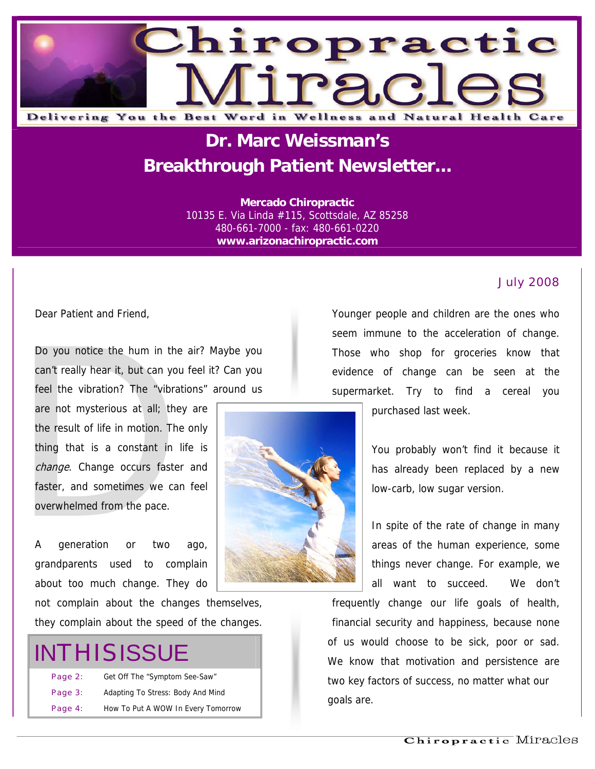

## **Dr. Marc Weissman's Breakthrough Patient Newsletter...**

**Mercado Chiropractic**  10135 E. Via Linda #115, Scottsdale, AZ 85258 480-661-7000 - fax: 480-661-0220 **www.arizonachiropractic.com**

#### July 2008

Dear Patient and Friend,

Do you notice the hum in the air? Maybe you can't really hear it, but can you feel it? Can you feel the vibration? The "vibrations" around us

are not mysterious at all; they are the result of life in motion. The only thing that is a constant in life is change. Change occurs faster and faster, and sometimes we can feel overwhelmed from the pace.

A generation or two ago, grandparents used to complain about too much change. They do

not complain about the changes themselves, they complain about the speed of the changes.

# **INTHISISSUE**

| Page 2: | Get Off The "Symptom See-Saw"      | two key fa |
|---------|------------------------------------|------------|
| Page 3: | Adapting To Stress: Body And Mind  | goals are. |
| Page 4: | How To Put A WOW In Every Tomorrow |            |

Younger people and children are the ones who seem immune to the acceleration of change. Those who shop for groceries know that evidence of change can be seen at the supermarket. Try to find a cereal you

purchased last week.

low-carb, low sugar version.



You probably won't find it because it has already been replaced by a new

In spite of the rate of change in many areas of the human experience, some things never change. For example, we all want to succeed. We don't

frequently change our life goals of health, financial security and happiness, because none of us would choose to be sick, poor or sad. We know that motivation and persistence are two key factors of success, no matter what our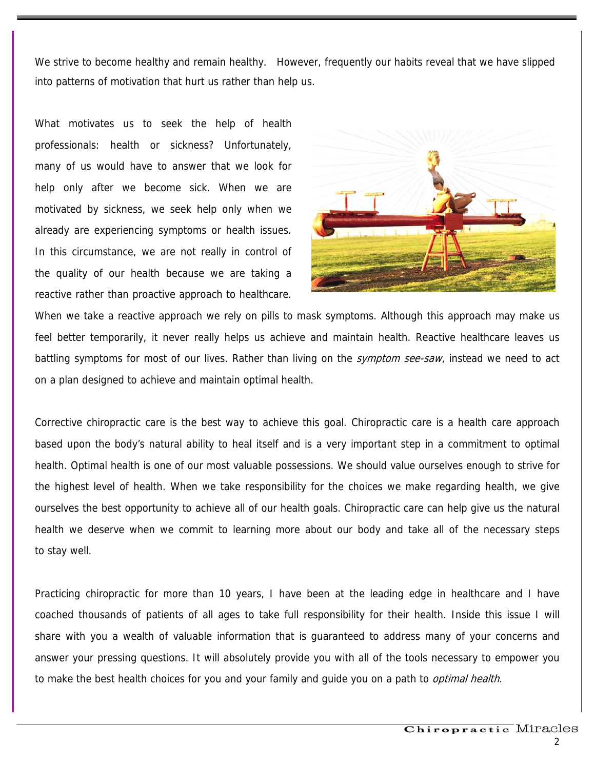We strive to become healthy and remain healthy. However, frequently our habits reveal that we have slipped into patterns of motivation that hurt us rather than help us.

What motivates us to seek the help of health professionals: health or sickness? Unfortunately, many of us would have to answer that we look for help only after we become sick. When we are motivated by sickness, we seek help only when we already are experiencing symptoms or health issues. In this circumstance, we are not really in control of the quality of our health because we are taking a reactive rather than proactive approach to healthcare.



When we take a reactive approach we rely on pills to mask symptoms. Although this approach may make us feel better temporarily, it never really helps us achieve and maintain health. Reactive healthcare leaves us battling symptoms for most of our lives. Rather than living on the *symptom see-saw*, instead we need to act on a plan designed to achieve and maintain optimal health.

Corrective chiropractic care is the best way to achieve this goal. Chiropractic care is a health care approach based upon the body's natural ability to heal itself and is a very important step in a commitment to optimal health. Optimal health is one of our most valuable possessions. We should value ourselves enough to strive for the highest level of health. When we take responsibility for the choices we make regarding health, we give ourselves the best opportunity to achieve all of our health goals. Chiropractic care can help give us the natural health we deserve when we commit to learning more about our body and take all of the necessary steps to stay well.

Practicing chiropractic for more than 10 years, I have been at the leading edge in healthcare and I have coached thousands of patients of all ages to take full responsibility for their health. Inside this issue I will share with you a wealth of valuable information that is guaranteed to address many of your concerns and answer your pressing questions. It will absolutely provide you with all of the tools necessary to empower you to make the best health choices for you and your family and quide you on a path to *optimal health*.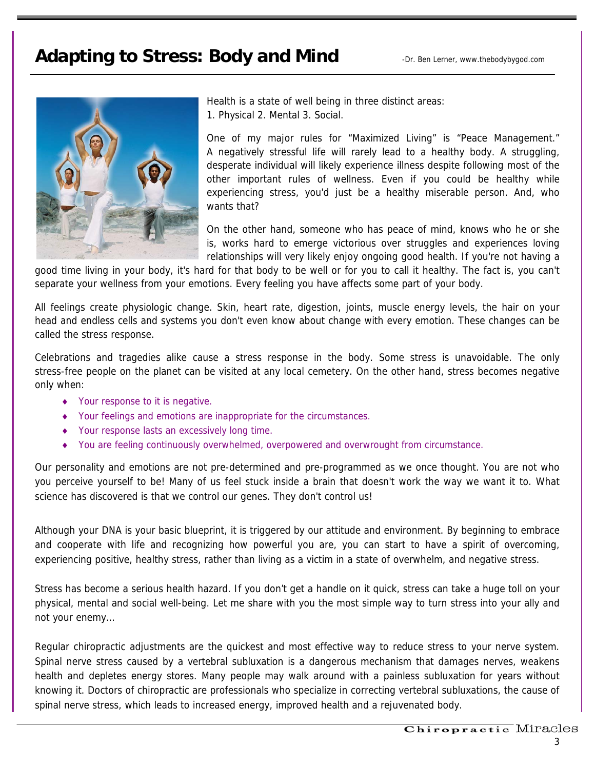### Adapting to Stress: Body and Mind **Adapting to Stress: Body and Mind**



Health is a state of well being in three distinct areas: 1. Physical 2. Mental 3. Social.

One of my major rules for "Maximized Living" is "Peace Management." A negatively stressful life will rarely lead to a healthy body. A struggling, desperate individual will likely experience illness despite following most of the other important rules of wellness. Even if you could be healthy while experiencing stress, you'd just be a healthy miserable person. And, who wants that?

On the other hand, someone who has peace of mind, knows who he or she is, works hard to emerge victorious over struggles and experiences loving relationships will very likely enjoy ongoing good health. If you're not having a

good time living in your body, it's hard for that body to be well or for you to call it healthy. The fact is, you can't separate your wellness from your emotions. Every feeling you have affects some part of your body.

All feelings create physiologic change. Skin, heart rate, digestion, joints, muscle energy levels, the hair on your head and endless cells and systems you don't even know about change with every emotion. These changes can be called the stress response.

Celebrations and tragedies alike cause a stress response in the body. Some stress is unavoidable. The only stress-free people on the planet can be visited at any local cemetery. On the other hand, stress becomes negative only when:

- ♦ Your response to it is negative.
- ♦ Your feelings and emotions are inappropriate for the circumstances.
- ♦ Your response lasts an excessively long time.
- ♦ You are feeling continuously overwhelmed, overpowered and overwrought from circumstance.

Our personality and emotions are not pre-determined and pre-programmed as we once thought. You are not who you perceive yourself to be! Many of us feel stuck inside a brain that doesn't work the way we want it to. What science has discovered is that we control our genes. They don't control us!

Although your DNA is your basic blueprint, it is triggered by our attitude and environment. By beginning to embrace and cooperate with life and recognizing how powerful you are, you can start to have a spirit of overcoming, experiencing positive, healthy stress, rather than living as a victim in a state of overwhelm, and negative stress.

Stress has become a serious health hazard. If you don't get a handle on it quick, stress can take a huge toll on your physical, mental and social well-being. Let me share with you the most simple way to turn stress into your ally and not your enemy…

Regular chiropractic adjustments are the quickest and most effective way to reduce stress to your nerve system. Spinal nerve stress caused by a vertebral subluxation is a dangerous mechanism that damages nerves, weakens health and depletes energy stores. Many people may walk around with a painless subluxation for years without knowing it. Doctors of chiropractic are professionals who specialize in correcting vertebral subluxations, the cause of spinal nerve stress, which leads to increased energy, improved health and a rejuvenated body.